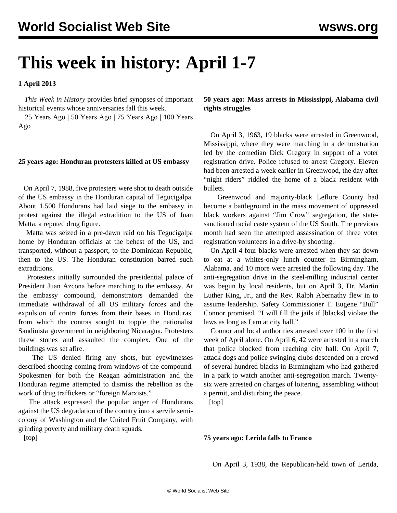# **This week in history: April 1-7**

**1 April 2013**

 *This Week in History* provides brief synopses of important historical events whose anniversaries fall this week.

 25 Years Ago | 50 Years Ago | 75 Years Ago | 100 Years Ago

## **25 years ago: Honduran protesters killed at US embassy**

 On April 7, 1988, five protesters were shot to death outside of the US embassy in the Honduran capital of Tegucigalpa. About 1,500 Hondurans had laid siege to the embassy in protest against the illegal extradition to the US of Juan Matta, a reputed drug figure.

 Matta was seized in a pre-dawn raid on his Tegucigalpa home by Honduran officials at the behest of the US, and transported, without a passport, to the Dominican Republic, then to the US. The Honduran constitution barred such extraditions.

 Protesters initially surrounded the presidential palace of President Juan Azcona before marching to the embassy. At the embassy compound, demonstrators demanded the immediate withdrawal of all US military forces and the expulsion of contra forces from their bases in Honduras, from which the contras sought to topple the nationalist Sandinista government in neighboring Nicaragua. Protesters threw stones and assaulted the complex. One of the buildings was set afire.

 The US denied firing any shots, but eyewitnesses described shooting coming from windows of the compound. Spokesmen for both the Reagan administration and the Honduran regime attempted to dismiss the rebellion as the work of drug traffickers or "foreign Marxists."

 The attack expressed the popular anger of Hondurans against the US degradation of the country into a servile semicolony of Washington and the United Fruit Company, with grinding poverty and military death squads.

**50 years ago: Mass arrests in Mississippi, Alabama civil rights struggles**

 On April 3, 1963, 19 blacks were arrested in Greenwood, Mississippi, where they were marching in a demonstration led by the comedian Dick Gregory in support of a voter registration drive. Police refused to arrest Gregory. Eleven had been arrested a week earlier in Greenwood, the day after "night riders" riddled the home of a black resident with bullets.

 Greenwood and majority-black Leflore County had become a battleground in the mass movement of oppressed black workers against "Jim Crow" segregation, the statesanctioned racial caste system of the US South. The previous month had seen the attempted assassination of three voter registration volunteers in a drive-by shooting.

 On April 4 four blacks were arrested when they sat down to eat at a whites-only lunch counter in Birmingham, Alabama, and 10 more were arrested the following day. The anti-segregation drive in the steel-milling industrial center was begun by local residents, but on April 3, Dr. Martin Luther King, Jr., and the Rev. Ralph Abernathy flew in to assume leadership. Safety Commissioner T. Eugene "Bull" Connor promised, "I will fill the jails if [blacks] violate the laws as long as I am at city hall."

 Connor and local authorities arrested over 100 in the first week of April alone. On April 6, 42 were arrested in a march that police blocked from reaching city hall. On April 7, attack dogs and police swinging clubs descended on a crowd of several hundred blacks in Birmingham who had gathered in a park to watch another anti-segregation march. Twentysix were arrested on charges of loitering, assembling without a permit, and disturbing the peace.

[top]

#### **75 years ago: Lerida falls to Franco**

On April 3, 1938, the Republican-held town of Lerida,

[top]